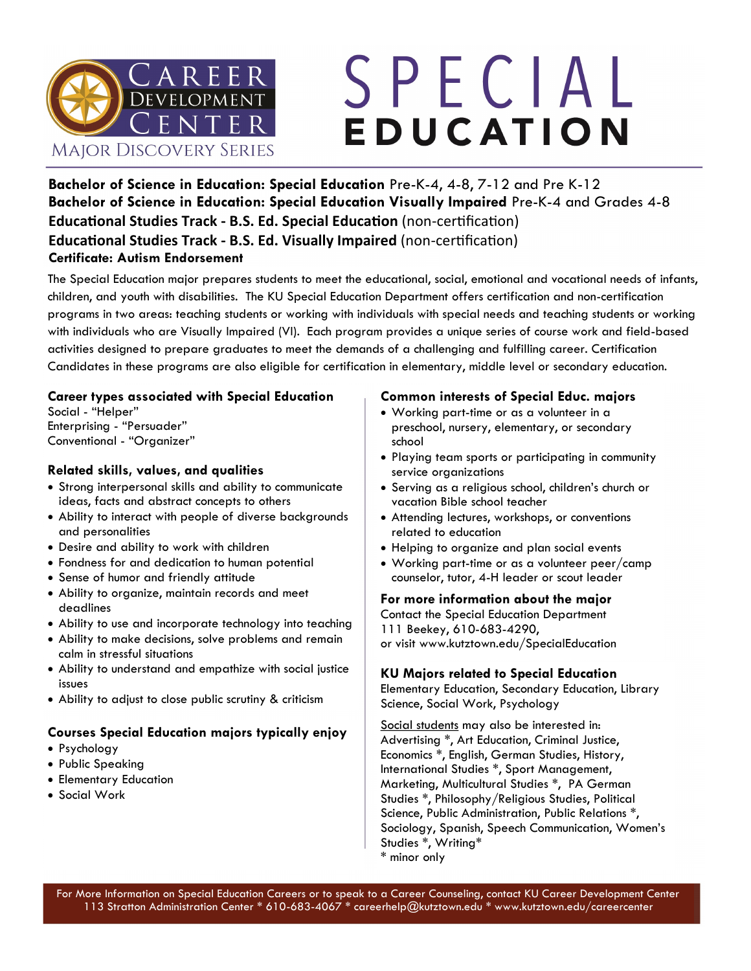

# SPECIAL EDUCATION

**Bachelor of Science in Education: Special Education** Pre-K-4, 4-8, 7-12 and Pre K-12 **Bachelor of Science in Education: Special Education Visually Impaired** Pre-K-4 and Grades 4-8 **Educational Studies Track - B.S. Ed. Special Education** (non-certification) **Educational Studies Track - B.S. Ed. Visually Impaired** (non-certification) **Certificate: Autism Endorsement** 

The Special Education major prepares students to meet the educational, social, emotional and vocational needs of infants, children, and youth with disabilities. The KU Special Education Department offers certification and non-certification programs in two areas: teaching students or working with individuals with special needs and teaching students or working with individuals who are Visually Impaired (VI). Each program provides a unique series of course work and field-based activities designed to prepare graduates to meet the demands of a challenging and fulfilling career. Certification Candidates in these programs are also eligible for certification in elementary, middle level or secondary education.

#### **Career types associated with Special Education**

Social - "Helper" Enterprising - "Persuader" Conventional - "Organizer"

#### **Related skills, values, and qualities**

- Strong interpersonal skills and ability to communicate ideas, facts and abstract concepts to others
- Ability to interact with people of diverse backgrounds and personalities
- Desire and ability to work with children
- Fondness for and dedication to human potential
- Sense of humor and friendly attitude
- Ability to organize, maintain records and meet deadlines
- Ability to use and incorporate technology into teaching
- Ability to make decisions, solve problems and remain calm in stressful situations
- Ability to understand and empathize with social justice issues
- Ability to adjust to close public scrutiny & criticism

#### **Courses Special Education majors typically enjoy**

- Psychology
- Public Speaking
- Elementary Education
- Social Work

#### **Common interests of Special Educ. majors**

- Working part-time or as a volunteer in a preschool, nursery, elementary, or secondary school
- Playing team sports or participating in community service organizations
- Serving as a religious school, children's church or vacation Bible school teacher
- Attending lectures, workshops, or conventions related to education
- Helping to organize and plan social events
- Working part-time or as a volunteer peer/camp counselor, tutor, 4-H leader or scout leader

#### **For more information about the major**

Contact the Special Education Department 111 Beekey, 610-683-4290, or visit www.kutztown.edu/SpecialEducation

#### **KU Majors related to Special Education**

Elementary Education, Secondary Education, Library Science, Social Work, Psychology

Social students may also be interested in: Advertising \*, Art Education, Criminal Justice, Economics \*, English, German Studies, History, International Studies \*, Sport Management, Marketing, Multicultural Studies \*, PA German Studies \*, Philosophy/Religious Studies, Political Science, Public Administration, Public Relations \*, Sociology, Spanish, Speech Communication, Women's Studies \*, Writing\*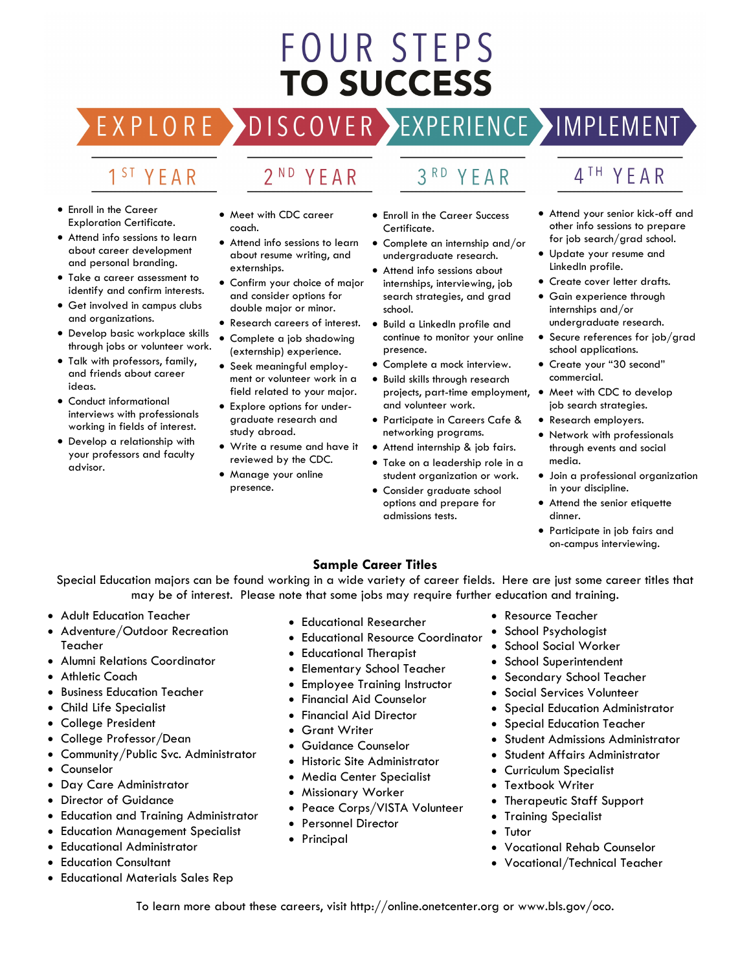## **FOUR STEPS TO SUCCESS**

#### EXPLO RE  $ISCOVER$

## EXPERIENCE >IMPLEMENT

YFAR

### 1<sup>ST</sup> YEAR

- Enroll in the Career Exploration Certificate.
- Attend info sessions to learn about career development and personal branding.
- Take a career assessment to identify and confirm interests.
- Get involved in campus clubs and organizations.
- Develop basic workplace skills through jobs or volunteer work.
- Talk with professors, family, and friends about career ideas.
- Conduct informational interviews with professionals working in fields of interest.
- Develop a relationship with your professors and faculty advisor.

• Meet with CDC career coach.

 $2ND$ 

YFAR

- Attend info sessions to learn about resume writing, and externships.
- Confirm your choice of major and consider options for double major or minor.
- Research careers of interest.
- Complete a job shadowing (externship) experience.
- Seek meaningful employment or volunteer work in a field related to your major.
- Explore options for undergraduate research and study abroad.
- Write a resume and have it reviewed by the CDC.
- Manage your online presence.

• Enroll in the Career Success Certificate.

 $3<sup>RD</sup>$ 

- Complete an internship and/or undergraduate research.
- Attend info sessions about internships, interviewing, job search strategies, and grad school.
- Build a LinkedIn profile and continue to monitor your online presence.
- Complete a mock interview.
- Build skills through research projects, part-time employment, and volunteer work.
- Participate in Careers Cafe & networking programs.
- Attend internship & job fairs.
- Take on a leadership role in a student organization or work.
- Consider graduate school options and prepare for admissions tests.

## 4TH YEAR

- Attend your senior kick-off and other info sessions to prepare for job search/grad school.
- Update your resume and LinkedIn profile.
- Create cover letter drafts.
	- Gain experience through internships and/or undergraduate research.
	- Secure references for job/grad school applications.
	- Create your "30 second" commercial.
- Meet with CDC to develop job search strategies.
- Research employers.
- Network with professionals through events and social media.
- Join a professional organization in your discipline.
- Attend the senior etiquette dinner.
- Participate in job fairs and on-campus interviewing.

#### **Sample Career Titles**

Special Education majors can be found working in a wide variety of career fields. Here are just some career titles that may be of interest. Please note that some jobs may require further education and training.

- Adult Education Teacher
- Adventure/Outdoor Recreation Teacher
- Alumni Relations Coordinator
- Athletic Coach
- Business Education Teacher
- Child Life Specialist
- College President
- College Professor/Dean
- Community/Public Svc. Administrator
- Counselor
- Day Care Administrator
- Director of Guidance
- Education and Training Administrator
- Education Management Specialist
- Educational Administrator
- **Education Consultant**
- Educational Materials Sales Rep
- Educational Researcher
- Educational Resource Coordinator
- Educational Therapist
- Elementary School Teacher
- Employee Training Instructor
- Financial Aid Counselor
- Financial Aid Director
- **Grant Writer**
- Guidance Counselor
- Historic Site Administrator
- Media Center Specialist
- Missionary Worker
- Peace Corps/VISTA Volunteer
- Personnel Director
- Principal
- Resource Teacher
- School Psychologist
- School Social Worker
- School Superintendent
- Secondary School Teacher
- Social Services Volunteer
- Special Education Administrator
- Special Education Teacher
- Student Admissions Administrator
- Student Affairs Administrator
- Curriculum Specialist
- Textbook Writer
- Therapeutic Staff Support
- Training Specialist
- **Tutor**
- Vocational Rehab Counselor
- Vocational/Technical Teacher

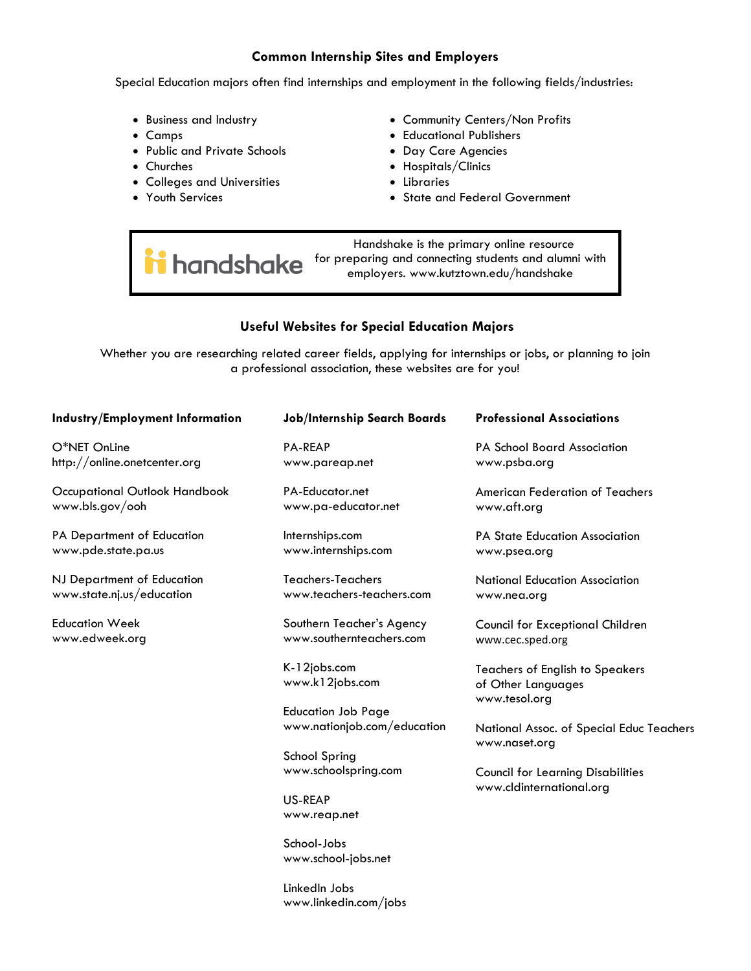#### **Common Internship Sites and Employers**

Special Education majors often find internships and employment in the following fields/industries:

- Business and Industry
- Camps
- Public and Private Schools
- Churches
- Colleges and Universities
- Youth Services
- Community Centers/Non Profits
- Educational Publishers
- Day Care Agencies
- Hospitals/Clinics
- Libraries
- State and Federal Government

 Handshake is the primary online resource handshake for preparing and connecting students and alumni with employers. www.kutztown.edu/handshake

#### **Useful Websites for Special Education Majors**

Whether you are researching related career fields, applying for internships or jobs, or planning to join a professional association, these websites are for you!

| Industry/Employment Information                         | Job/Internship Search Boards                             | <b>Professional Associations</b>                                              |
|---------------------------------------------------------|----------------------------------------------------------|-------------------------------------------------------------------------------|
| O*NET OnLine<br>http://online.onetcenter.org            | <b>PA-REAP</b><br>www.pareap.net                         | PA School Board Association<br>www.psba.org                                   |
| Occupational Outlook Handbook<br>www.bls.gov/ooh        | PA-Educator.net<br>www.pa-educator.net                   | American Federation of Teachers<br>www.aft.org                                |
| PA Department of Education<br>www.pde.state.pa.us       | Internships.com<br>www.internships.com                   | PA State Education Association<br>www.psea.org                                |
| NJ Department of Education<br>www.state.nj.us/education | <b>Teachers-Teachers</b><br>www.teachers-teachers.com    | <b>National Education Association</b><br>www.nea.org                          |
| <b>Education Week</b><br>www.edweek.org                 | Southern Teacher's Agency<br>www.southernteachers.com    | Council for Exceptional Children<br>www.cec.sped.org                          |
|                                                         | K-12jobs.com<br>www.k12jobs.com                          | <b>Teachers of English to Speakers</b><br>of Other Languages<br>www.tesol.org |
|                                                         | <b>Education Job Page</b><br>www.nationjob.com/education | National Assoc. of Special Educ Teachers<br>www.naset.org                     |
|                                                         | School Spring<br>www.schoolspring.com                    | <b>Council for Learning Disabilities</b>                                      |
|                                                         | US-REAP<br>www.reap.net                                  | www.cldinternational.org                                                      |
|                                                         |                                                          |                                                                               |

School-Jobs www.school-jobs.net

LinkedIn Jobs www.linkedin.com/jobs